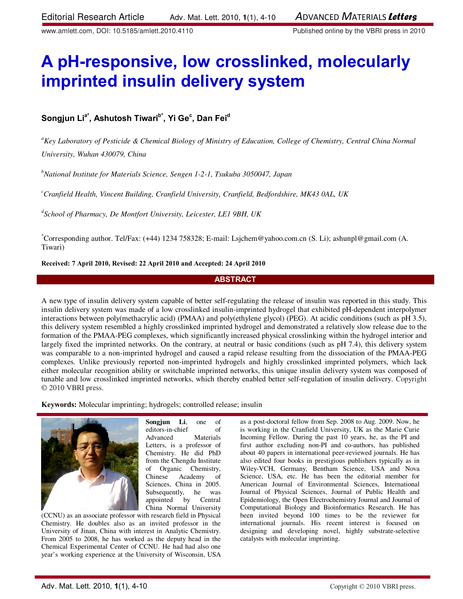www.amlett.com, DOI: 10.5185/amlett.2010.4110 Published online by the VBRI press in 2010

# **A pH-responsive, low crosslinked, molecularly imprinted insulin delivery system**

## **Songjun Lia\*, Ashutosh Tiwarib\*, Yi Ge<sup>c</sup> , Dan Fei<sup>d</sup>**

*<sup>a</sup>Key Laboratory of Pesticide & Chemical Biology of Ministry of Education, College of Chemistry, Central China Normal University, Wuhan 430079, China* 

*<sup>b</sup>National Institute for Materials Science, Sengen 1-2-1, Tsukuba 3050047, Japan* 

*<sup>c</sup>Cranfield Health, Vincent Building, Cranfield University, Cranfield, Bedfordshire, MK43 0AL, UK* 

*d School of Pharmacy, De Montfort University, Leicester, LE1 9BH, UK* 

\*Corresponding author. Tel/Fax: (+44) 1234 758328; E-mail: Lsjchem@yahoo.com.cn (S. Li); ashunpl@gmail.com (A. Tiwari)

## **Received: 7 April 2010, Revised: 22 April 2010 and Accepted: 24 April 2010**

## **ABSTRACT**

A new type of insulin delivery system capable of better self-regulating the release of insulin was reported in this study. This insulin delivery system was made of a low crosslinked insulin-imprinted hydrogel that exhibited pH-dependent interpolymer interactions between poly(methacrylic acid) (PMAA) and poly(ethylene glycol) (PEG). At acidic conditions (such as pH 3.5), this delivery system resembled a highly crosslinked imprinted hydrogel and demonstrated a relatively slow release due to the formation of the PMAA-PEG complexes, which significantly increased physical crosslinking within the hydrogel interior and largely fixed the imprinted networks. On the contrary, at neutral or basic conditions (such as pH 7.4), this delivery system was comparable to a non-imprinted hydrogel and caused a rapid release resulting from the dissociation of the PMAA-PEG complexes. Unlike previously reported non-imprinted hydrogels and highly crosslinked imprinted polymers, which lack either molecular recognition ability or switchable imprinted networks, this unique insulin delivery system was composed of tunable and low crosslinked imprinted networks, which thereby enabled better self-regulation of insulin delivery. Copyright © 2010 VBRI press.

**Keywords:** Molecular imprinting; hydrogels; controlled release; insulin



**Songjun Li**, one of editors-in-chief of Advanced Materials Letters, is a professor of Chemistry. He did PhD from the Chengdu Institute of Organic Chemistry, Chinese Academy of Sciences, China in 2005. Subsequently, he was appointed by Central China Normal University

(CCNU) as an associate professor with research field in Physical Chemistry. He doubles also as an invited professor in the University of Jinan, China with interest in Analytic Chemistry. From 2005 to 2008, he has worked as the deputy head in the Chemical Experimental Center of CCNU. He had had also one year's working experience at the University of Wisconsin, USA

as a post-doctoral fellow from Sep. 2008 to Aug. 2009. Now, he is working in the Cranfield University, UK as the Marie Curie Incoming Fellow. During the past 10 years, he, as the PI and first author excluding non-PI and co-authors, has published about 40 papers in international peer-reviewed journals. He has also edited four books in prestigious publishers typically as in Wiley-VCH, Germany, Bentham Science, USA and Nova Science, USA, etc. He has been the editorial member for American Journal of Environmental Sciences, International Journal of Physical Sciences, Journal of Public Health and Epidemiology, the Open Electrochemistry Journal and Journal of Computational Biology and Bioinformatics Research. He has been invited beyond 100 times to be the reviewer for international journals. His recent interest is focused on designing and developing novel, highly substrate-selective catalysts with molecular imprinting.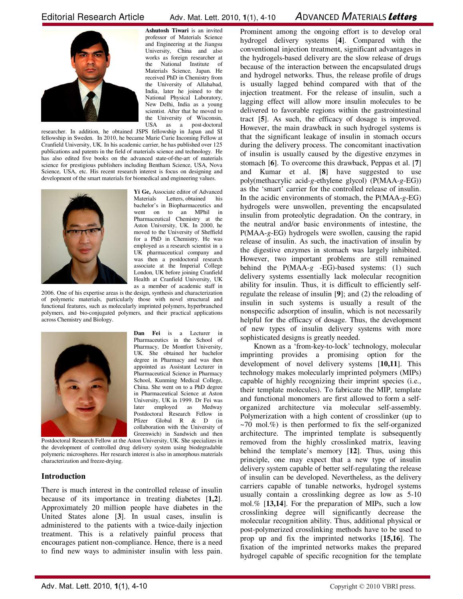

**Ashutosh Tiwari** is an invited professor of Materials Science and Engineering at the Jiangsu University, China and also works as foreign researcher at the National Institute of Materials Science, Japan. He received PhD in Chemistry from the University of Allahabad, India, later he joined to the National Physical Laboratory, New Delhi, India as a young scientist. After that he moved to the University of Wisconsin, USA as a post-doctoral

researcher. In addition, he obtained JSPS fellowship in Japan and SI fellowship in Sweden. In 2010, he became Marie Curie Incoming Fellow at Cranfield University, UK. In his academic carrier, he has published over 125 publications and patents in the field of materials science and technology. He has also edited five books on the advanced state-of-the-art of materials science for prestigious publishers including Bentham Science, USA, Nova Science, USA, etc. His recent research interest is focus on designing and development of the smart materials for biomedical and engineering values.



**Yi Ge,** Associate editor of Advanced Materials Letters, obtained his bachelor's in Biopharmaceutics and went on to an MPhil in Pharmaceutical Chemistry at the Aston University, UK. In 2000, he moved to the University of Sheffield for a PhD in Chemistry. He was employed as a research scientist in a UK pharmaceutical company and was then a postdoctoral research associate at the Imperial College London, UK before joining Cranfield Health at Cranfield University, UK as a member of academic staff in

2006. One of his expertise areas is the design, synthesis and characterization of polymeric materials, particularly those with novel structural and functional features, such as molecularly imprinted polymers, hyperbranched polymers, and bio-conjugated polymers, and their practical applications across Chemistry and Biology.



**Dan Fei** is a Lecturer in Pharmaceutics in the School of Pharmacy, De Montfort University, UK. She obtained her bachelor degree in Pharmacy and was then appointed as Assistant Lecturer in Pharmaceutical Science in Pharmacy School, Kunming Medical College, China. She went on to a PhD degree in Pharmaceutical Science at Aston University, UK in 1999. Dr Fei was later employed as Medway Postdoctoral Research Fellow in Pfizer Global R & D (in collaboration with the University of Greenwich) in Sandwich and then

Postdoctoral Research Fellow at the Aston University, UK. She specializes in the development of controlled drug delivery system using biodegradable polymeric microspheres. Her research interest is also in amorphous materials characterization and freeze-drying.

## **Introduction**

There is much interest in the controlled release of insulin because of its importance in treating diabetes [**1,2**]. Approximately 20 million people have diabetes in the United States alone [**3**]. In usual cases, insulin is administered to the patients with a twice-daily injection treatment. This is a relatively painful process that encourages patient non-compliance. Hence, there is a need to find new ways to administer insulin with less pain. Prominent among the ongoing effort is to develop oral hydrogel delivery systems [**4**]. Compared with the conventional injection treatment, significant advantages in the hydrogels-based delivery are the slow release of drugs because of the interaction between the encapsulated drugs and hydrogel networks. Thus, the release profile of drugs is usually lagged behind compared with that of the injection treatment. For the release of insulin, such a lagging effect will allow more insulin molecules to be delivered to favorable regions within the gastrointestinal tract [**5**]. As such, the efficacy of dosage is improved. However, the main drawback in such hydrogel systems is that the significant leakage of insulin in stomach occurs during the delivery process. The concomitant inactivation of insulin is usually caused by the digestive enzymes in stomach [**6**]. To overcome this drawback, Peppas et al. [**7**] and Kumar et al. [**8**] have suggested to use poly(methacrylic acid-*g*-ethylene glycol) (P(MAA-*g*-EG)) as the 'smart' carrier for the controlled release of insulin. In the acidic environments of stomach, the P(MAA-*g*-EG) hydrogels were unswollen, preventing the encapsulated insulin from proteolytic degradation. On the contrary, in the neutral and/or basic environments of intestine, the P(MAA-*g*-EG) hydrogels were swollen, causing the rapid release of insulin. As such, the inactivation of insulin by the digestive enzymes in stomach was largely inhibited. However, two important problems are still remained behind the P(MAA-*g* -EG)-based systems: (1) such delivery systems essentially lack molecular recognition ability for insulin. Thus, it is difficult to efficiently selfregulate the release of insulin [**9**]; and (2) the reloading of insulin in such systems is usually a result of the nonspecific adsorption of insulin, which is not necessarily helpful for the efficacy of dosage. Thus, the development of new types of insulin delivery systems with more sophisticated designs is greatly needed.

Known as a 'from-key-to-lock' technology, molecular imprinting provides a promising option for the development of novel delivery systems [**10,11**]. This technology makes molecularly imprinted polymers (MIPs) capable of highly recognizing their imprint species (i.e., their template molecules). To fabricate the MIP, template and functional monomers are first allowed to form a selforganized architecture via molecular self-assembly. Polymerization with a high content of crosslinker (up to  $~1$  $~0$  mol.%) is then performed to fix the self-organized architecture. The imprinted template is subsequently removed from the highly crosslinked matrix, leaving behind the template's memory [**12**]. Thus, using this principle, one may expect that a new type of insulin delivery system capable of better self-regulating the release of insulin can be developed. Nevertheless, as the delivery carriers capable of tunable networks, hydrogel systems usually contain a crosslinking degree as low as 5-10 mol.% [**13,14**]. For the preparation of MIPs, such a low crosslinking degree will significantly decrease the molecular recognition ability. Thus, additional physical or post-polymerized crosslinking methods have to be used to prop up and fix the imprinted networks [**15,16**]. The fixation of the imprinted networks makes the prepared hydrogel capable of specific recognition for the template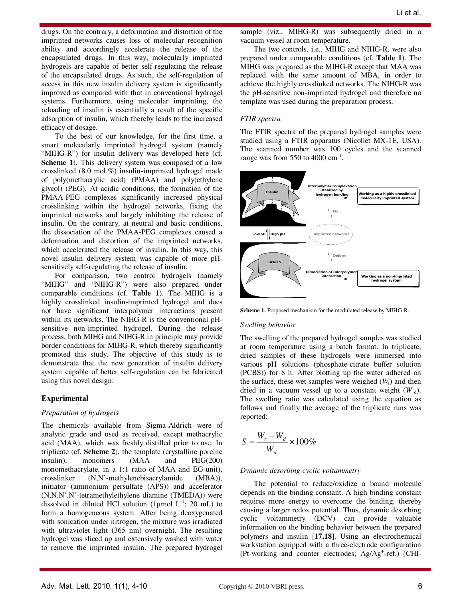drugs. On the contrary, a deformation and distortion of the imprinted networks causes loss of molecular recognition ability and accordingly accelerate the release of the encapsulated drugs. In this way, molecularly imprinted hydrogels are capable of better self-regulating the release of the encapsulated drugs. As such, the self-regulation of access in this new insulin delivery system is significantly improved as compared with that in conventional hydrogel systems. Furthermore, using molecular imprinting, the reloading of insulin is essentially a result of the specific adsorption of insulin, which thereby leads to the increased efficacy of dosage.

To the best of our knowledge, for the first time, a smart molecularly imprinted hydrogel system (namely "MIHG-R") for insulin delivery was developed here (cf. **Scheme 1**). This delivery system was composed of a low crosslinked (8.0 mol.%) insulin-imprinted hydrogel made of poly(methacrylic acid) (PMAA) and poly(ethylene glycol) (PEG). At acidic conditions, the formation of the PMAA-PEG complexes significantly increased physical crosslinking within the hydrogel networks, fixing the imprinted networks and largely inhibiting the release of insulin. On the contrary, at neutral and basic conditions, the dissociation of the PMAA-PEG complexes caused a deformation and distortion of the imprinted networks, which accelerated the release of insulin. In this way, this novel insulin delivery system was capable of more pHsensitively self-regulating the release of insulin.

For comparison, two control hydrogels (namely "MIHG" and "NIHG-R") were also prepared under comparable conditions (cf. **Table 1**). The MIHG is a highly crosslinked insulin-imprinted hydrogel and does not have significant interpolymer interactions present within its networks. The NIHG-R is the conventional pHsensitive non-imprinted hydrogel. During the release process, both MIHG and NIHG-R in principle may provide border conditions for MIHG-R, which thereby significantly promoted this study. The objective of this study is to demonstrate that the new generation of insulin delivery system capable of better self-regulation can be fabricated using this novel design.

#### **Experimental**

#### *Preparation of hydrogels*

The chemicals available from Sigma-Aldrich were of analytic grade and used as received, except methacrylic acid (MAA), which was freshly distilled prior to use. In triplicate (cf. **Scheme 2**), the template (crystalline porcine insulin), monomers (MAA and PEG(200) monomethacrylate, in a 1:1 ratio of MAA and EG-unit), crosslinker (N,N'-methylenebisacrylamide (MBA)), initiator (ammonium persulfate (APS)) and accelerator (N,N,N',N'-tetramethylethylene diamine (TMEDA)) were dissolved in diluted HCl solution (1µmol  $L^{-1}$ ; 20 mL) to form a homogeneous system. After being deoxygenated with sonication under nitrogen, the mixture was irradiated with ultraviolet light (365 nm) overnight. The resulting hydrogel was sliced up and extensively washed with water to remove the imprinted insulin. The prepared hydrogel

sample (viz., MIHG-R) was subsequently dried in a vacuum vessel at room temperature.

The two controls, i.e., MIHG and NIHG-R, were also prepared under comparable conditions (cf. **Table 1**). The MIHG was prepared as the MIHG-R except that MAA was replaced with the same amount of MBA, in order to achieve the highly crosslinked networks. The NIHG-R was the pH-sensitive non-imprinted hydrogel and therefore no template was used during the preparation process.

#### *FTIR spectra*

The FTIR spectra of the prepared hydrogel samples were studied using a FTIR apparatus (Nicollet MX-1E, USA). The scanned number was 100 cycles and the scanned range was from 550 to 4000  $\text{cm}^{\text{-1}}$ .



**Scheme 1.** Proposed mechanism for the modulated release by MIHG-R.

#### *Swelling behavior*

The swelling of the prepared hydrogel samples was studied at room temperature using a batch format. In triplicate, dried samples of these hydrogels were immersed into various pH solutions (phosphate-citrate buffer solution (PCBS)) for 8 h. After blotting up the water adhered on the surface, these wet samples were weighed  $(W_t)$  and then dried in a vacuum vessel up to a constant weight  $(W_d)$ . The swelling ratio was calculated using the equation as follows and finally the average of the triplicate runs was reported:

$$
S = \frac{W_t - W_d}{W_d} \times 100\%
$$

#### *Dynamic desorbing cyclic voltammetry*

The potential to reduce/oxidize a bound molecule depends on the binding constant. A high binding constant requires more energy to overcome the binding, thereby causing a larger redox potential. Thus, dynamic desorbing cyclic voltammetry (DCV) can provide valuable information on the binding behavior between the prepared polymers and insulin [**17,18**]. Using an electrochemical workstation equipped with a three-electrode configuration (Pt-working and counter electrodes; Ag/Ag<sup>+</sup>-ref.) (CHI-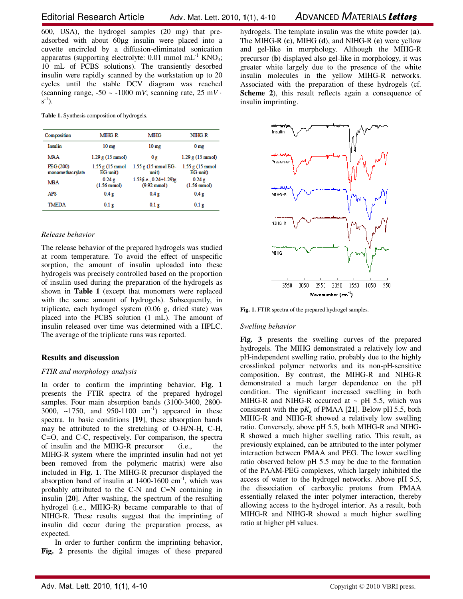600, USA), the hydrogel samples (20 mg) that preadsorbed with about 60µg insulin were placed into a cuvette encircled by a diffusion-eliminated sonication apparatus (supporting electrolyte:  $0.01$  mmol mL<sup>-1</sup> KNO<sub>3</sub>; 10 mL of PCBS solutions). The transiently desorbed insulin were rapidly scanned by the workstation up to 20 cycles until the stable DCV diagram was reached (scanning range,  $-50 \sim -1000$  m*V*; scanning rate,  $25$  m*V* $\cdot$  $s^{-1}$ ).

**Table 1.** Synthesis composition of hydrogels.

| Composition                   | MIHG-R                                     | <b>MHG</b>                                         | NIHG-R                                     |
|-------------------------------|--------------------------------------------|----------------------------------------------------|--------------------------------------------|
| Insulin                       | 10 <sub>mg</sub>                           | 10 <sub>mg</sub>                                   | 0 <sub>mg</sub>                            |
| <b>MAA</b>                    | $1.29$ g $(15 \text{ mmol})$               | 0 <sub>g</sub>                                     | $1.29$ g $(15 \text{ mmol})$               |
| PEG (200)<br>monomethacrylate | $1.55$ g (15 mmol<br>EG-unit)              | $1.55$ g $(15 \text{ mmol EG}$<br>unit             | $1.55$ g $(15 \text{ mmol})$<br>EG-unit)   |
| <b>MBA</b>                    | 0.24 <sub>g</sub><br>$(1.56 \text{ mmol})$ | $1.53$ (i.e., 0.24+1.29)g<br>$(9.92 \text{ mmol})$ | 0.24 <sub>g</sub><br>$(1.56 \text{ mmol})$ |
| <b>APS</b>                    | 0.4 <sub>g</sub>                           | 0.4 <sub>g</sub>                                   | 0.4g                                       |
| TMEDA                         | 0.1 <sub>g</sub>                           | 0.1 <sub>g</sub>                                   | 0.1 <sub>g</sub>                           |

## *Release behavior*

The release behavior of the prepared hydrogels was studied at room temperature. To avoid the effect of unspecific sorption, the amount of insulin uploaded into these hydrogels was precisely controlled based on the proportion of insulin used during the preparation of the hydrogels as shown in **Table 1** (except that monomers were replaced with the same amount of hydrogels). Subsequently, in triplicate, each hydrogel system (0.06 g, dried state) was placed into the PCBS solution (1 mL). The amount of insulin released over time was determined with a HPLC. The average of the triplicate runs was reported.

## **Results and discussion**

## *FTIR and morphology analysis*

In order to confirm the imprinting behavior, **Fig. 1** presents the FTIR spectra of the prepared hydrogel samples. Four main absorption bands (3100-3400, 2800- 3000,  $\sim$ 1750, and 950-1100 cm<sup>-1</sup>) appeared in these spectra. In basic conditions [**19**], these absorption bands may be attributed to the stretching of O-H/N-H, C-H, C=O, and C-C, respectively. For comparison, the spectra of insulin and the MIHG-R precursor (i.e., the MIHG-R system where the imprinted insulin had not yet been removed from the polymeric matrix) were also included in **Fig. 1**. The MIHG-R precursor displayed the absorption band of insulin at  $1400-1600$  cm<sup>-1</sup>, which was probably attributed to the C-N and C=N containing in insulin [**20**]. After washing, the spectrum of the resulting hydrogel (i.e., MIHG-R) became comparable to that of NIHG-R. These results suggest that the imprinting of insulin did occur during the preparation process, as expected.

In order to further confirm the imprinting behavior, **Fig. 2** presents the digital images of these prepared hydrogels. The template insulin was the white powder (**a**). The MIHG-R (**c**), MIHG (**d**), and NIHG-R (**e**) were yellow and gel-like in morphology. Although the MIHG-R precursor (**b**) displayed also gel-like in morphology, it was greater white largely due to the presence of the white insulin molecules in the yellow MIHG-R networks. Associated with the preparation of these hydrogels (cf. **Scheme 2**), this result reflects again a consequence of insulin imprinting.



Fig. 1. FTIR spectra of the prepared hydrogel samples.

#### *Swelling behavior*

**Fig. 3** presents the swelling curves of the prepared hydrogels. The MIHG demonstrated a relatively low and pH-independent swelling ratio, probably due to the highly crosslinked polymer networks and its non-pH-sensitive composition. By contrast, the MIHG-R and NIHG-R demonstrated a much larger dependence on the pH condition. The significant increased swelling in both MIHG-R and NIHG-R occurred at  $\sim$  pH 5.5, which was consistent with the  $pK_a$  of PMAA [21]. Below  $pH$  5.5, both MIHG-R and NIHG-R showed a relatively low swelling ratio. Conversely, above pH 5.5, both MIHG-R and NIHG-R showed a much higher swelling ratio. This result, as previously explained, can be attributed to the inter polymer interaction between PMAA and PEG. The lower swelling ratio observed below pH 5.5 may be due to the formation of the PAAM-PEG complexes, which largely inhibited the access of water to the hydrogel networks. Above pH 5.5, the dissociation of carboxylic protons from PMAA essentially relaxed the inter polymer interaction, thereby allowing access to the hydrogel interior. As a result, both MIHG-R and NIHG-R showed a much higher swelling ratio at higher pH values.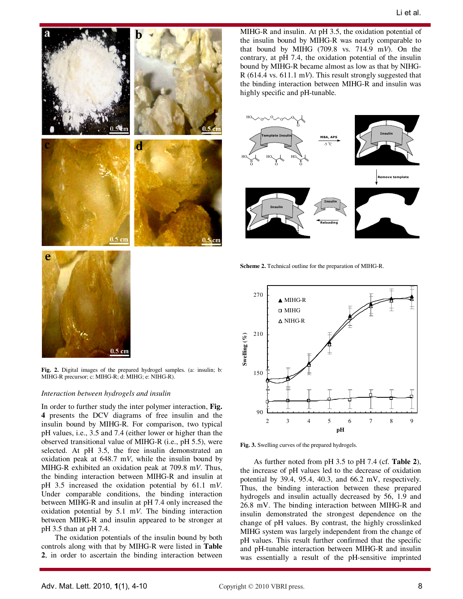

**Fig. 2.** Digital images of the prepared hydrogel samples. (a: insulin; b: MIHG-R precursor; c: MIHG-R; d: MIHG; e: NIHG-R).

#### *Interaction between hydrogels and insulin*

In order to further study the inter polymer interaction, **Fig. 4** presents the DCV diagrams of free insulin and the insulin bound by MIHG-R. For comparison, two typical pH values, i.e., 3.5 and 7.4 (either lower or higher than the observed transitional value of MIHG-R (i.e., pH 5.5), were selected. At pH 3.5, the free insulin demonstrated an oxidation peak at 648.7 m*V*, while the insulin bound by MIHG-R exhibited an oxidation peak at 709.8 m*V*. Thus, the binding interaction between MIHG-R and insulin at pH 3.5 increased the oxidation potential by 61.1 m*V*. Under comparable conditions, the binding interaction between MIHG-R and insulin at pH 7.4 only increased the oxidation potential by 5.1 m*V*. The binding interaction between MIHG-R and insulin appeared to be stronger at pH 3.5 than at pH 7.4.

The oxidation potentials of the insulin bound by both controls along with that by MIHG-R were listed in **Table 2**, in order to ascertain the binding interaction between

MIHG-R and insulin. At pH 3.5, the oxidation potential of the insulin bound by MIHG-R was nearly comparable to that bound by MIHG (709.8 vs. 714.9 m*V*). On the contrary, at pH 7.4, the oxidation potential of the insulin bound by MIHG-R became almost as low as that by NIHG-R (614.4 vs. 611.1 m*V*). This result strongly suggested that the binding interaction between MIHG-R and insulin was highly specific and pH-tunable.



**Scheme 2.** Technical outline for the preparation of MIHG-R.



**Fig. 3.** Swelling curves of the prepared hydrogels.

As further noted from pH 3.5 to pH 7.4 (cf. **Table 2**), the increase of pH values led to the decrease of oxidation potential by 39.4, 95.4, 40.3, and 66.2 mV, respectively. Thus, the binding interaction between these prepared hydrogels and insulin actually decreased by 56, 1.9 and 26.8 mV. The binding interaction between MIHG-R and insulin demonstrated the strongest dependence on the change of pH values. By contrast, the highly crosslinked MIHG system was largely independent from the change of pH values. This result further confirmed that the specific and pH-tunable interaction between MIHG-R and insulin was essentially a result of the pH-sensitive imprinted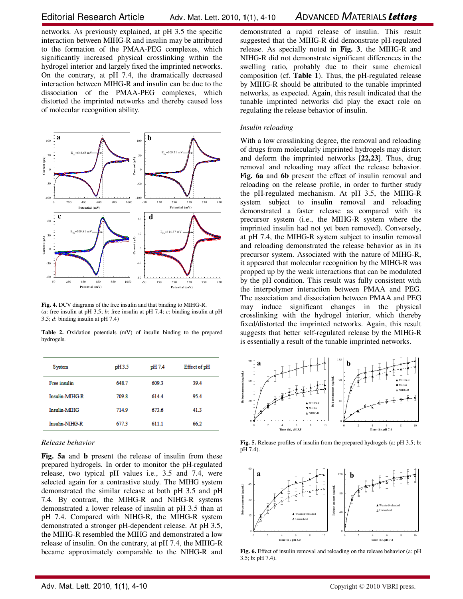networks. As previously explained, at pH 3.5 the specific interaction between MIHG-R and insulin may be attributed to the formation of the PMAA-PEG complexes, which significantly increased physical crosslinking within the hydrogel interior and largely fixed the imprinted networks. On the contrary, at pH 7.4, the dramatically decreased interaction between MIHG-R and insulin can be due to the dissociation of the PMAA-PEG complexes, which distorted the imprinted networks and thereby caused loss of molecular recognition ability.



**Fig. 4.** DCV diagrams of the free insulin and that binding to MIHG-R. (*a*: free insulin at pH 3.5; *b*: free insulin at pH 7.4; *c*: binding insulin at pH 3.5; *d*: binding insulin at pH 7.4)

Table 2. Oxidation potentials (mV) of insulin binding to the prepared hydrogels.

| <b>System</b>       | pH3.5 | pH 7.4 | Effect of pH |
|---------------------|-------|--------|--------------|
| Free insulin        | 648.7 | 609.3  | 39.4         |
| Insulin-MIHG-R      | 709.8 | 614.4  | 95.4         |
| <b>Insulin-MIHG</b> | 714.9 | 673.6  | 41.3         |
| Insulin-NIHG-R      | 6773  | 6111   | 66.2         |

#### *Release behavior*

**Fig. 5a** and **b** present the release of insulin from these prepared hydrogels. In order to monitor the pH-regulated release, two typical pH values i.e., 3.5 and 7.4, were selected again for a contrastive study. The MIHG system demonstrated the similar release at both pH 3.5 and pH 7.4. By contrast, the MIHG-R and NIHG-R systems demonstrated a lower release of insulin at pH 3.5 than at pH 7.4. Compared with NIHG-R, the MIHG-R system demonstrated a stronger pH-dependent release. At pH 3.5, the MIHG-R resembled the MIHG and demonstrated a low release of insulin. On the contrary, at pH 7.4, the MIHG-R became approximately comparable to the NIHG-R and demonstrated a rapid release of insulin. This result suggested that the MIHG-R did demonstrate pH-regulated release. As specially noted in **Fig. 3**, the MIHG-R and NIHG-R did not demonstrate significant differences in the swelling ratio, probably due to their same chemical composition (cf. **Table 1**). Thus, the pH-regulated release by MIHG-R should be attributed to the tunable imprinted networks, as expected. Again, this result indicated that the tunable imprinted networks did play the exact role on regulating the release behavior of insulin.

#### *Insulin reloading*

With a low crosslinking degree, the removal and reloading of drugs from molecularly imprinted hydrogels may distort and deform the imprinted networks [**22,23**]. Thus, drug removal and reloading may affect the release behavior. **Fig. 6a** and **6b** present the effect of insulin removal and reloading on the release profile, in order to further study the pH-regulated mechanism. At pH 3.5, the MIHG-R system subject to insulin removal and reloading demonstrated a faster release as compared with its precursor system (i.e., the MIHG-R system where the imprinted insulin had not yet been removed). Conversely, at pH 7.4, the MIHG-R system subject to insulin removal and reloading demonstrated the release behavior as in its precursor system. Associated with the nature of MIHG-R, it appeared that molecular recognition by the MIHG-R was propped up by the weak interactions that can be modulated by the pH condition. This result was fully consistent with the interpolymer interaction between PMAA and PEG. The association and dissociation between PMAA and PEG may induce significant changes in the physical crosslinking with the hydrogel interior, which thereby fixed/distorted the imprinted networks. Again, this result suggests that better self-regulated release by the MIHG-R is essentially a result of the tunable imprinted networks.



**Fig. 5.** Release profiles of insulin from the prepared hydrogels (a: pH 3.5; b: pH 7.4).



**Fig. 6.** Effect of insulin removal and reloading on the release behavior (a: pH 3.5; b: pH 7.4).